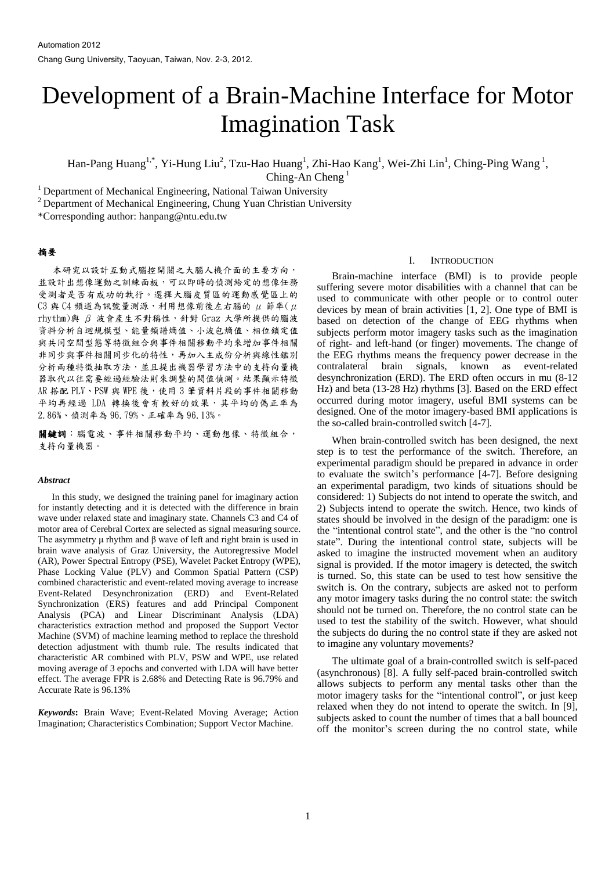# Development of a Brain-Machine Interface for Motor Imagination Task

Han-Pang Huang<sup>1,\*</sup>, Yi-Hung Liu<sup>2</sup>, Tzu-Hao Huang<sup>1</sup>, Zhi-Hao Kang<sup>1</sup>, Wei-Zhi Lin<sup>1</sup>, Ching-Ping Wang<sup>1</sup>,

Ching-An Cheng<sup>1</sup>

<sup>1</sup> Department of Mechanical Engineering, National Taiwan University

<sup>2</sup> Department of Mechanical Engineering, Chung Yuan Christian University

\*Corresponding author: hanpang@ntu.edu.tw

## 摘要

本研究以設計互動式腦控開關之大腦人機介面的主要方向, 並設計出想像運動之訓練面板,可以即時的偵測給定的想像任務 受測者是否有成功的執行。選擇大腦皮質區的運動感覺區上的 C3 與 C4 頻道為訊號量測源,利用想像前後左右腦的  $\mu$  節率 $(\mu)$ rhythm)與 β 波會產生不對稱性, 針對 Graz 大學所提供的腦波 資料分析自迴規模型、能量頻譜熵值、小波包熵值、相位鎖定值 與共同空間型態等特徵組合與事件相關移動平均來增加事件相關 非同步與事件相關同步化的特性,再加入主成份分析與線性鑑別 分析兩種特徵抽取方法,並且提出機器學習方法中的支持向量機 器取代以往需要經過經驗法則來調整的閥值偵測。結果顯示特徵 AR 搭配 PLV、PSW 與 WPE 後,使用3筆資料片段的事件相關移動 平均再經過 LDA 轉換後會有較好的效果,其平均的偽正率為 2.86%、偵測率為 96.79%、正確率為 96.13%。

關鍵詞:腦電波、事件相關移動平均、運動想像、特徵組合, 支持向量機器。

#### *Abstract*

In this study, we designed the training panel for imaginary action for instantly detecting and it is detected with the difference in brain wave under relaxed state and imaginary state. Channels C3 and C4 of motor area of Cerebral Cortex are selected as signal measuring source. The asymmetry μ rhythm and β wave of left and right brain is used in brain wave analysis of Graz University, the Autoregressive Model (AR), Power Spectral Entropy (PSE), Wavelet Packet Entropy (WPE), Phase Locking Value (PLV) and Common Spatial Pattern (CSP) combined characteristic and event-related moving average to increase Event-Related Desynchronization (ERD) and Event-Related Synchronization (ERS) features and add Principal Component Analysis (PCA) and Linear Discriminant Analysis (LDA) characteristics extraction method and proposed the Support Vector Machine (SVM) of machine learning method to replace the threshold detection adjustment with thumb rule. The results indicated that characteristic AR combined with PLV, PSW and WPE, use related moving average of 3 epochs and converted with LDA will have better effect. The average FPR is 2.68% and Detecting Rate is 96.79% and Accurate Rate is 96.13%

*Keywords***:** Brain Wave; Event-Related Moving Average; Action Imagination; Characteristics Combination; Support Vector Machine.

#### I. INTRODUCTION

Brain-machine interface (BMI) is to provide people suffering severe motor disabilities with a channel that can be used to communicate with other people or to control outer devices by mean of brain activities [1, 2]. One type of BMI is based on detection of the change of EEG rhythms when subjects perform motor imagery tasks such as the imagination of right- and left-hand (or finger) movements. The change of the EEG rhythms means the frequency power decrease in the contralateral brain signals, known as event-related desynchronization (ERD). The ERD often occurs in mu (8-12 Hz) and beta (13-28 Hz) rhythms [3]. Based on the ERD effect occurred during motor imagery, useful BMI systems can be designed. One of the motor imagery-based BMI applications is the so-called brain-controlled switch [4-7].

When brain-controlled switch has been designed, the next step is to test the performance of the switch. Therefore, an experimental paradigm should be prepared in advance in order to evaluate the switch's performance [4-7]. Before designing an experimental paradigm, two kinds of situations should be considered: 1) Subjects do not intend to operate the switch, and 2) Subjects intend to operate the switch. Hence, two kinds of states should be involved in the design of the paradigm: one is the "intentional control state", and the other is the "no control state". During the intentional control state, subjects will be asked to imagine the instructed movement when an auditory signal is provided. If the motor imagery is detected, the switch is turned. So, this state can be used to test how sensitive the switch is. On the contrary, subjects are asked not to perform any motor imagery tasks during the no control state: the switch should not be turned on. Therefore, the no control state can be used to test the stability of the switch. However, what should the subjects do during the no control state if they are asked not to imagine any voluntary movements?

The ultimate goal of a brain-controlled switch is self-paced (asynchronous) [8]. A fully self-paced brain-controlled switch allows subjects to perform any mental tasks other than the motor imagery tasks for the "intentional control", or just keep relaxed when they do not intend to operate the switch. In [9], subjects asked to count the number of times that a ball bounced off the monitor's screen during the no control state, while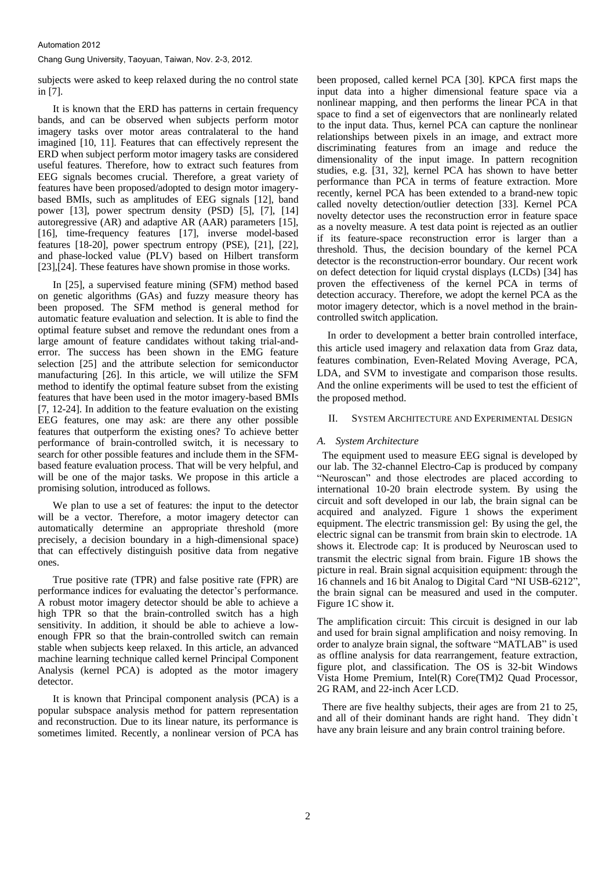subjects were asked to keep relaxed during the no control state in [7].

It is known that the ERD has patterns in certain frequency bands, and can be observed when subjects perform motor imagery tasks over motor areas contralateral to the hand imagined [10, 11]. Features that can effectively represent the ERD when subject perform motor imagery tasks are considered useful features. Therefore, how to extract such features from EEG signals becomes crucial. Therefore, a great variety of features have been proposed/adopted to design motor imagerybased BMIs, such as amplitudes of EEG signals [12], band power [13], power spectrum density (PSD) [5], [7], [14] autoregressive (AR) and adaptive AR (AAR) parameters [15], [16], time-frequency features [17], inverse model-based features [18-20], power spectrum entropy (PSE), [21], [22], and phase-locked value (PLV) based on Hilbert transform [23],[24]. These features have shown promise in those works.

In [25], a supervised feature mining (SFM) method based on genetic algorithms (GAs) and fuzzy measure theory has been proposed. The SFM method is general method for automatic feature evaluation and selection. It is able to find the optimal feature subset and remove the redundant ones from a large amount of feature candidates without taking trial-anderror. The success has been shown in the EMG feature selection [25] and the attribute selection for semiconductor manufacturing [26]. In this article, we will utilize the SFM method to identify the optimal feature subset from the existing features that have been used in the motor imagery-based BMIs [7, 12-24]. In addition to the feature evaluation on the existing EEG features, one may ask: are there any other possible features that outperform the existing ones? To achieve better performance of brain-controlled switch, it is necessary to search for other possible features and include them in the SFMbased feature evaluation process. That will be very helpful, and will be one of the major tasks. We propose in this article a promising solution, introduced as follows.

We plan to use a set of features: the input to the detector will be a vector. Therefore, a motor imagery detector can automatically determine an appropriate threshold (more precisely, a decision boundary in a high-dimensional space) that can effectively distinguish positive data from negative ones.

True positive rate (TPR) and false positive rate (FPR) are performance indices for evaluating the detector's performance. A robust motor imagery detector should be able to achieve a high TPR so that the brain-controlled switch has a high sensitivity. In addition, it should be able to achieve a lowenough FPR so that the brain-controlled switch can remain stable when subjects keep relaxed. In this article, an advanced machine learning technique called kernel Principal Component Analysis (kernel PCA) is adopted as the motor imagery detector.

It is known that Principal component analysis (PCA) is a popular subspace analysis method for pattern representation and reconstruction. Due to its linear nature, its performance is sometimes limited. Recently, a nonlinear version of PCA has

been proposed, called kernel PCA [30]. KPCA first maps the input data into a higher dimensional feature space via a nonlinear mapping, and then performs the linear PCA in that space to find a set of eigenvectors that are nonlinearly related to the input data. Thus, kernel PCA can capture the nonlinear relationships between pixels in an image, and extract more discriminating features from an image and reduce the dimensionality of the input image. In pattern recognition studies, e.g. [31, 32], kernel PCA has shown to have better performance than PCA in terms of feature extraction. More recently, kernel PCA has been extended to a brand-new topic called novelty detection/outlier detection [33]. Kernel PCA novelty detector uses the reconstruction error in feature space as a novelty measure. A test data point is rejected as an outlier if its feature-space reconstruction error is larger than a threshold. Thus, the decision boundary of the kernel PCA detector is the reconstruction-error boundary. Our recent work on defect detection for liquid crystal displays (LCDs) [34] has proven the effectiveness of the kernel PCA in terms of detection accuracy. Therefore, we adopt the kernel PCA as the motor imagery detector, which is a novel method in the braincontrolled switch application.

In order to development a better brain controlled interface, this article used imagery and relaxation data from Graz data, features combination, Even-Related Moving Average, PCA, LDA, and SVM to investigate and comparison those results. And the online experiments will be used to test the efficient of the proposed method.

## II. SYSTEM ARCHITECTURE AND EXPERIMENTAL DESIGN

## *A. System Architecture*

The equipment used to measure EEG signal is developed by our lab. The 32-channel Electro-Cap is produced by company "Neuroscan" and those electrodes are placed according to international 10-20 brain electrode system. By using the circuit and soft developed in our lab, the brain signal can be acquired and analyzed. Figure 1 shows the experiment equipment. The electric transmission gel: By using the gel, the electric signal can be transmit from brain skin to electrode. 1A shows it. Electrode cap: It is produced by Neuroscan used to transmit the electric signal from brain. Figure 1B shows the picture in real. Brain signal acquisition equipment: through the 16 channels and 16 bit Analog to Digital Card "NI USB-6212", the brain signal can be measured and used in the computer. Figure 1C show it.

The amplification circuit: This circuit is designed in our lab and used for brain signal amplification and noisy removing. In order to analyze brain signal, the software "MATLAB" is used as offline analysis for data rearrangement, feature extraction, figure plot, and classification. The OS is 32-bit Windows Vista Home Premium, Intel(R) Core(TM)2 Quad Processor, 2G RAM, and 22-inch Acer LCD.

There are five healthy subjects, their ages are from 21 to 25, and all of their dominant hands are right hand. They didn`t have any brain leisure and any brain control training before.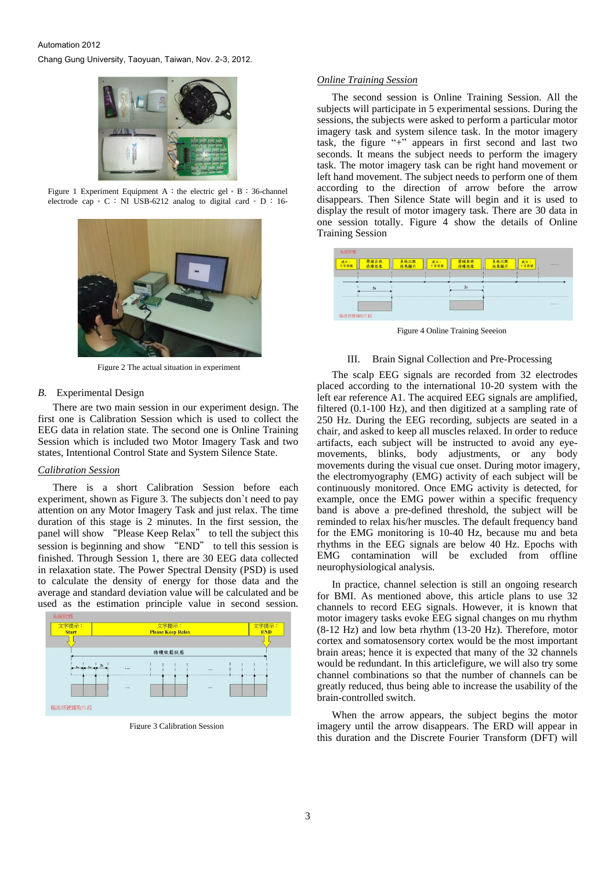## Automation 2012 Chang Gung University, Taoyuan, Taiwan, Nov. 2-3, 2012.



Figure 1 Experiment Equipment A: the electric gel  $\circ$  B:36-channel electrode cap  $\circ$  C : NI USB-6212 analog to digital card  $\circ$  D : 16-



Figure 2 The actual situation in experiment

## *B.* Experimental Design

There are two main session in our experiment design. The first one is Calibration Session which is used to collect the EEG data in relation state. The second one is Online Training Session which is included two Motor Imagery Task and two states, Intentional Control State and System Silence State.

## *Calibration Session*

There is a short Calibration Session before each experiment, shown as Figure 3. The subjects don`t need to pay attention on any Motor Imagery Task and just relax. The time duration of this stage is 2 minutes. In the first session, the panel will show "Please Keep Relax" to tell the subject this session is beginning and show "END" to tell this session is finished. Through Session 1, there are 30 EEG data collected in relaxation state. The Power Spectral Density (PSD) is used to calculate the density of energy for those data and the average and standard deviation value will be calculated and be used as the estimation principle value in second session.



Figure 3 Calibration Session

## *Online Training Session*

The second session is Online Training Session. All the subjects will participate in 5 experimental sessions. During the sessions, the subjects were asked to perform a particular motor imagery task and system silence task. In the motor imagery task, the figure "+" appears in first second and last two seconds. It means the subject needs to perform the imagery task. The motor imagery task can be right hand movement or left hand movement. The subject needs to perform one of them according to the direction of arrow before the arrow disappears. Then Silence State will begin and it is used to display the result of motor imagery task. There are 30 data in one session totally. Figure 4 show the details of Online Training Session



Figure 4 Online Training Seeeion

#### III. Brain Signal Collection and Pre-Processing

The scalp EEG signals are recorded from 32 electrodes placed according to the international 10-20 system with the left ear reference A1. The acquired EEG signals are amplified, filtered (0.1-100 Hz), and then digitized at a sampling rate of 250 Hz. During the EEG recording, subjects are seated in a chair, and asked to keep all muscles relaxed. In order to reduce artifacts, each subject will be instructed to avoid any eyemovements, blinks, body adjustments, or any body movements during the visual cue onset. During motor imagery, the electromyography (EMG) activity of each subject will be continuously monitored. Once EMG activity is detected, for example, once the EMG power within a specific frequency band is above a pre-defined threshold, the subject will be reminded to relax his/her muscles. The default frequency band for the EMG monitoring is 10-40 Hz, because mu and beta rhythms in the EEG signals are below 40 Hz. Epochs with EMG contamination will be excluded from offline neurophysiological analysis.

In practice, channel selection is still an ongoing research for BMI. As mentioned above, this article plans to use 32 channels to record EEG signals. However, it is known that motor imagery tasks evoke EEG signal changes on mu rhythm (8-12 Hz) and low beta rhythm (13-20 Hz). Therefore, motor cortex and somatosensory cortex would be the most important brain areas; hence it is expected that many of the 32 channels would be redundant. In this articlefigure, we will also try some channel combinations so that the number of channels can be greatly reduced, thus being able to increase the usability of the brain-controlled switch.

When the arrow appears, the subject begins the motor imagery until the arrow disappears. The ERD will appear in this duration and the Discrete Fourier Transform (DFT) will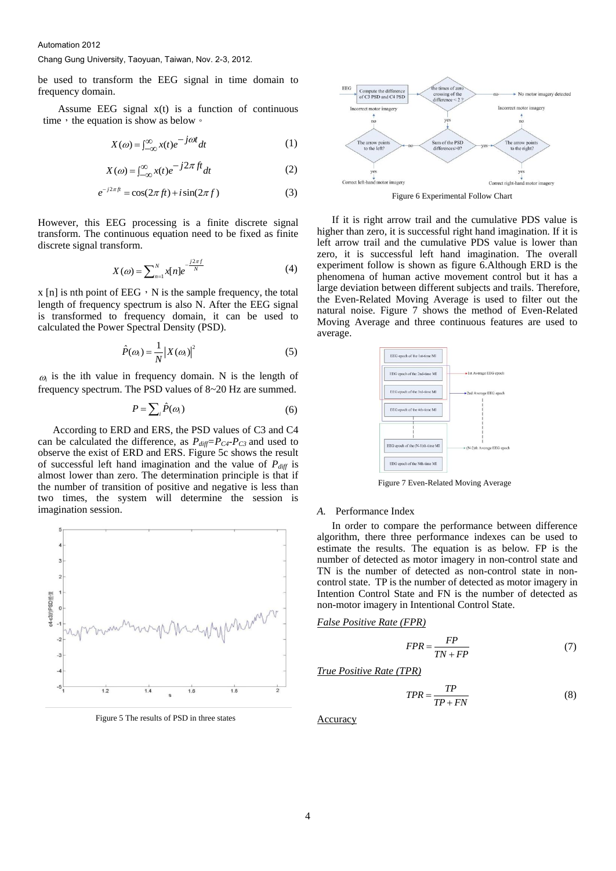be used to transform the EEG signal in time domain to frequency domain.

Assume EEG signal  $x(t)$  is a function of continuous time, the equation is show as below  $\circ$ 

$$
X(\omega) = \int_{-\infty}^{\infty} x(t)e^{-j\omega t} dt
$$
 (1)

$$
X(\omega) = \int_{-\infty}^{\infty} x(t)e^{-j2\pi ft}dt
$$
 (2)

$$
e^{-j2\pi ft} = \cos(2\pi ft) + i\sin(2\pi f)
$$
 (3)

However, this EEG processing is a finite discrete signal transform. The continuous equation need to be fixed as finite discrete signal transform.

$$
X(\omega) = \sum_{n=1}^{N} x[n]e^{-\frac{j2\pi f}{N}}
$$
(4)

 $x$  [n] is nth point of EEG,  $\overline{N}$  is the sample frequency, the total length of frequency spectrum is also N. After the EEG signal is transformed to frequency domain, it can be used to calculated the Power Spectral Density (PSD).

$$
\hat{P}(\omega_i) = \frac{1}{N} |X(\omega_i)|^2 \tag{5}
$$

 $\omega_i$  is the ith value in frequency domain. N is the length of frequency spectrum. The PSD values of 8~20 Hz are summed.

$$
P = \sum_{i} \hat{P}(\omega_i) \tag{6}
$$

According to ERD and ERS, the PSD values of C3 and C4 can be calculated the difference, as  $P_{diff} = P_{C4} - P_{C3}$  and used to observe the exist of ERD and ERS. Figure 5c shows the result of successful left hand imagination and the value of  $P_{diff}$  is almost lower than zero. The determination principle is that if the number of transition of positive and negative is less than two times, the system will determine the session is imagination session.



Figure 5 The results of PSD in three states



Figure 6 Experimental Follow Chart

If it is right arrow trail and the cumulative PDS value is higher than zero, it is successful right hand imagination. If it is left arrow trail and the cumulative PDS value is lower than zero, it is successful left hand imagination. The overall experiment follow is shown as figure 6.Although ERD is the phenomena of human active movement control but it has a large deviation between different subjects and trails. Therefore, the Even-Related Moving Average is used to filter out the natural noise. Figure 7 shows the method of Even-Related Moving Average and three continuous features are used to average.



Figure 7 Even-Related Moving Average

#### *A.* Performance Index

In order to compare the performance between difference algorithm, there three performance indexes can be used to estimate the results. The equation is as below. FP is the number of detected as motor imagery in non-control state and TN is the number of detected as non-control state in noncontrol state. TP is the number of detected as motor imagery in Intention Control State and FN is the number of detected as non-motor imagery in Intentional Control State.

*False Positive Rate (FPR)*

$$
FPR = \frac{FP}{TN + FP} \tag{7}
$$

*True Positive Rate (TPR)*

$$
TPR = \frac{TP}{TP + FN} \tag{8}
$$

Accuracy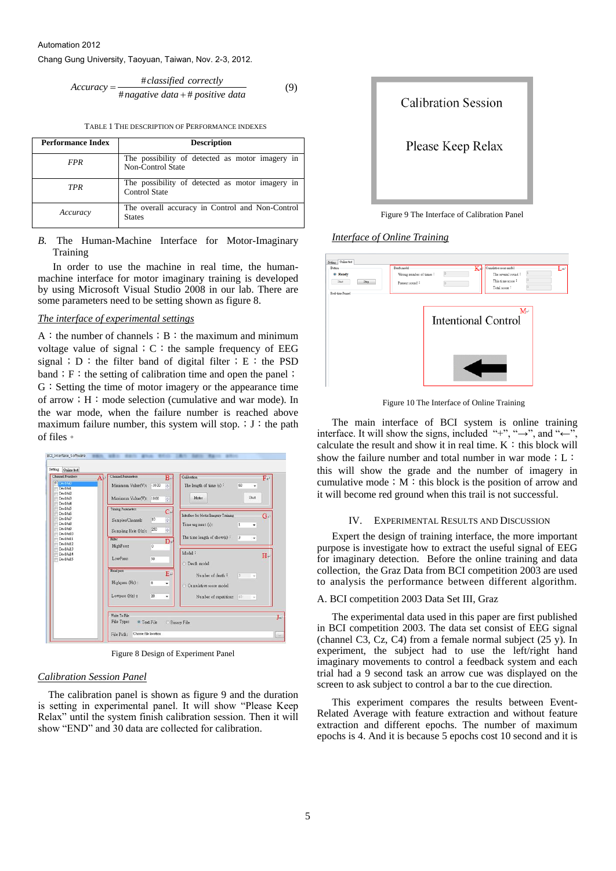Automation 2012

Chang Gung University, Taoyuan, Taiwan, Nov. 2-3, 2012.

\n
$$
Accuracy = \frac{\#classified\ correctly}{\#nagative\ data + \# positive\ data} \tag{9}
$$

TABLE 1 THE DESCRIPTION OF PERFORMANCE INDEXES

| <b>Performance Index</b> | <b>Description</b>                                                      |
|--------------------------|-------------------------------------------------------------------------|
| <b>FPR</b>               | The possibility of detected as motor imagery in<br>Non-Control State    |
| TPR                      | The possibility of detected as motor imagery in<br><b>Control State</b> |
| Accuracy                 | The overall accuracy in Control and Non-Control<br><b>States</b>        |

*B.* The Human-Machine Interface for Motor-Imaginary **Training** 

In order to use the machine in real time, the humanmachine interface for motor imaginary training is developed by using Microsoft Visual Studio 2008 in our lab. There are some parameters need to be setting shown as figure 8.

## *The interface of experimental settings*

 $A:$  the number of channels; B: the maximum and minimum voltage value of signal;  $C:$  the sample frequency of EEG signal; D: the filter band of digital filter; E: the PSD band; F: the setting of calibration time and open the panel; G: Setting the time of motor imagery or the appearance time of arrow;  $H:$  mode selection (cumulative and war mode). In the war mode, when the failure number is reached above maximum failure number, this system will stop.  $;J:$  the path of files。



Figure 8 Design of Experiment Panel

#### *Calibration Session Panel*

The calibration panel is shown as figure 9 and the duration is setting in experimental panel. It will show "Please Keep Relax" until the system finish calibration session. Then it will show "END" and 30 data are collected for calibration.



Figure 9 The Interface of Calibration Panel

## *Interface of Online Training*

| Button<br><sup>o</sup> Ready<br>Stort<br>Supp | Cumulative score model<br>K↓<br>Death model<br>Wrong number of times:<br>The several round:<br>This time score:<br>Present round: | LΨ |
|-----------------------------------------------|-----------------------------------------------------------------------------------------------------------------------------------|----|
| Real-time Pannel                              | Total score:<br>$M_{\rm H}$<br><b>Intentional Control</b>                                                                         |    |
|                                               |                                                                                                                                   |    |

Figure 10 The Interface of Online Training

The main interface of BCI system is online training interface. It will show the signs, included "+", " $\rightarrow$ ", and " $\leftarrow$ " calculate the result and show it in real time.  $K :$  this block will show the failure number and total number in war mode; L: this will show the grade and the number of imagery in cumulative mode;  $M:$  this block is the position of arrow and it will become red ground when this trail is not successful.

## IV. EXPERIMENTAL RESULTS AND DISCUSSION

Expert the design of training interface, the more important purpose is investigate how to extract the useful signal of EEG for imaginary detection. Before the online training and data collection, the Graz Data from BCI competition 2003 are used to analysis the performance between different algorithm.

#### A. BCI competition 2003 Data Set III, Graz

The experimental data used in this paper are first published in BCI competition 2003. The data set consist of EEG signal (channel C3, Cz, C4) from a female normal subject (25 y). In experiment, the subject had to use the left/right hand imaginary movements to control a feedback system and each trial had a 9 second task an arrow cue was displayed on the screen to ask subject to control a bar to the cue direction.

This experiment compares the results between Event-Related Average with feature extraction and without feature extraction and different epochs. The number of maximum epochs is 4. And it is because 5 epochs cost 10 second and it is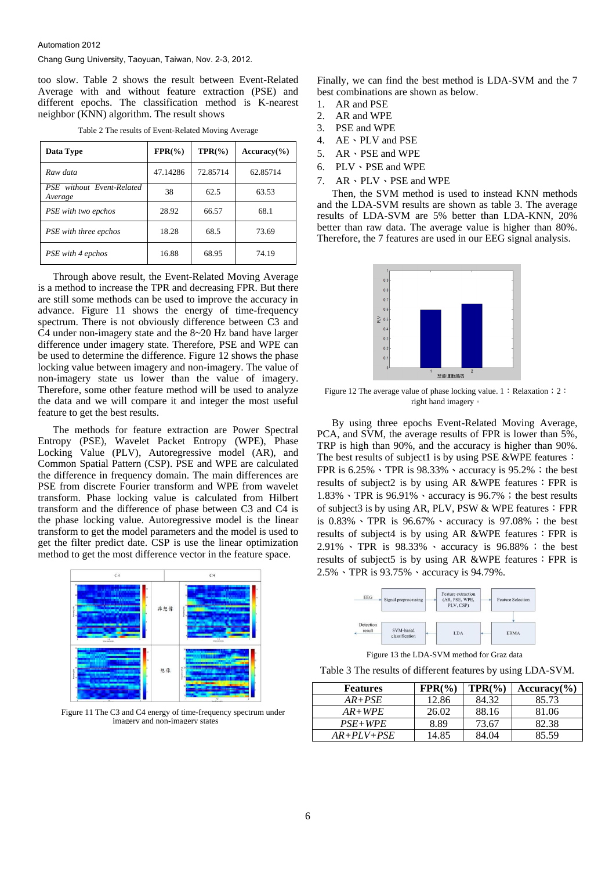too slow. Table 2 shows the result between Event-Related Average with and without feature extraction (PSE) and different epochs. The classification method is K-nearest neighbor (KNN) algorithm. The result shows

| Data Type                            | $FPR(\% )$ | $TPR(\% )$ | $Accuracy$ <sup>(%)</sup> |
|--------------------------------------|------------|------------|---------------------------|
| Raw data                             | 47.14286   | 72.85714   | 62.85714                  |
| PSE without Event-Related<br>Average | 38         | 62.5       | 63.53                     |
| PSE with two epchos                  | 28.92      | 66.57      | 68.1                      |
| PSE with three epchos                | 18.28      | 68.5       | 73.69                     |
| PSE with 4 epchos                    | 16.88      | 68.95      | 74.19                     |

Table 2 The results of Event-Related Moving Average

Through above result, the Event-Related Moving Average is a method to increase the TPR and decreasing FPR. But there are still some methods can be used to improve the accuracy in advance. Figure 11 shows the energy of time-frequency spectrum. There is not obviously difference between C3 and C4 under non-imagery state and the 8~20 Hz band have larger difference under imagery state. Therefore, PSE and WPE can be used to determine the difference. Figure 12 shows the phase locking value between imagery and non-imagery. The value of non-imagery state us lower than the value of imagery. Therefore, some other feature method will be used to analyze the data and we will compare it and integer the most useful feature to get the best results.

The methods for feature extraction are Power Spectral Entropy (PSE), Wavelet Packet Entropy (WPE), Phase Locking Value (PLV), Autoregressive model (AR), and Common Spatial Pattern (CSP). PSE and WPE are calculated the difference in frequency domain. The main differences are PSE from discrete Fourier transform and WPE from wavelet transform. Phase locking value is calculated from Hilbert transform and the difference of phase between C3 and C4 is the phase locking value. Autoregressive model is the linear transform to get the model parameters and the model is used to get the filter predict date. CSP is use the linear optimization method to get the most difference vector in the feature space.



Figure 11 The C3 and C4 energy of time-frequency spectrum under imagery and non-imagery states

Finally, we can find the best method is LDA-SVM and the 7 best combinations are shown as below.

- 1. AR and PSE
- 2. AR and WPE
- 3. PSE and WPE
- 4. AE、PLV and PSE
- 5. AR · PSE and WPE
- 6. PLV、PSE and WPE
- 7. AR、PLV、PSE and WPE

Then, the SVM method is used to instead KNN methods and the LDA-SVM results are shown as table 3. The average results of LDA-SVM are 5% better than LDA-KNN, 20% better than raw data. The average value is higher than 80%. Therefore, the 7 features are used in our EEG signal analysis.



Figure 12 The average value of phase locking value. 1: Relaxation; 2: right hand imagery。

By using three epochs Event-Related Moving Average, PCA, and SVM, the average results of FPR is lower than 5%, TRP is high than 90%, and the accuracy is higher than 90%. The best results of subject1 is by using PSE &WPE features: FPR is  $6.25\%$   $\cdot$  TPR is  $98.33\%$   $\cdot$  accuracy is  $95.2\%$ ; the best results of subject2 is by using AR &WPE features: FPR is  $1.83\%$   $\cdot$  TPR is 96.91%  $\cdot$  accuracy is 96.7%; the best results of subject3 is by using AR, PLV, PSW & WPE features: FPR is  $0.83\%$  TPR is  $96.67\%$  accuracy is  $97.08\%$ ; the best results of subject4 is by using AR &WPE features: FPR is 2.91%、 TPR is 98.33% 、 accuracy is 96.88% ; the best results of subject5 is by using AR &WPE features: FPR is 2.5%、TPR is 93.75%、accuracy is 94.79%.



Figure 13 the LDA-SVM method for Graz data

Table 3 The results of different features by using LDA-SVM.

| <b>Features</b> | $FPR(\%)$ | $TPR(\% )$ | $Accuracy$ <sup>(%)</sup> |
|-----------------|-----------|------------|---------------------------|
| $AR+PSE$        | 12.86     | 84.32      | 85.73                     |
| $AR+WPE$        | 26.02     | 88.16      | 81.06                     |
| $PSE+WPE$       | 8.89      | 73.67      | 82.38                     |
| $AR+PLV+PSE$    | 14.85     | 84.04      | 85.59                     |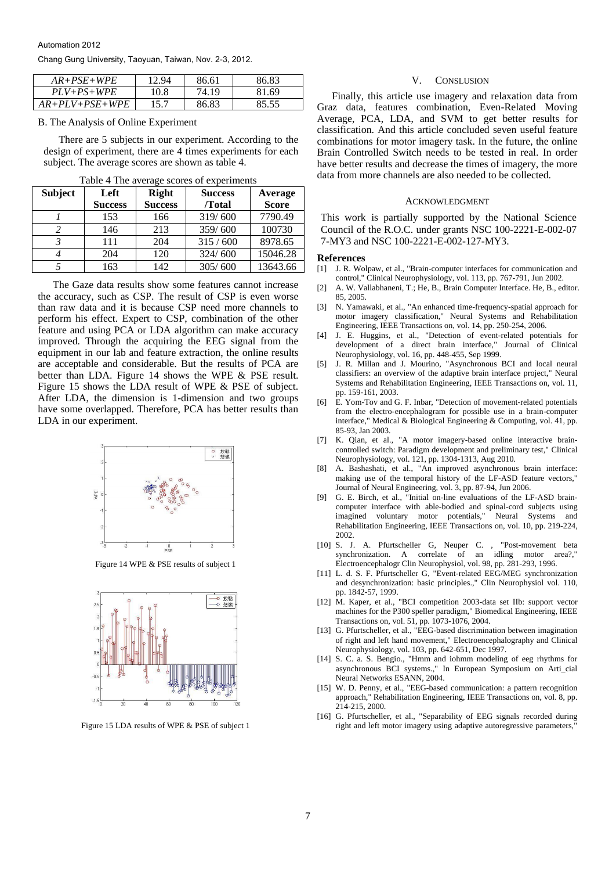Automation 2012

Chang Gung University, Taoyuan, Taiwan, Nov. 2-3, 2012.

| $AR+PSE+WPE$     | 12.94 | 86.61 | 86.83 |
|------------------|-------|-------|-------|
| $PLV+PS+WPE$     | 10.8  | 74.19 | 81.69 |
| $AR+PLV+PSE+WPE$ | 15.7  | 86.83 | 85.55 |

B. The Analysis of Online Experiment

There are 5 subjects in our experiment. According to the design of experiment, there are 4 times experiments for each subject. The average scores are shown as table 4.

| <b>Subject</b> | Left           | <b>Right</b>   | <b>Success</b> | Average      |
|----------------|----------------|----------------|----------------|--------------|
|                | <b>Success</b> | <b>Success</b> | /Total         | <b>Score</b> |
|                | 153            | 166            | 319/600        | 7790.49      |
|                | 146            | 213            | 359/600        | 100730       |
|                | 111            | 204            | 315/600        | 8978.65      |
|                | 204            | 120            | 324/600        | 15046.28     |
|                | 163            | 142            | 305/600        | 13643.66     |

Table 4 The average scores of experiments

The Gaze data results show some features cannot increase the accuracy, such as CSP. The result of CSP is even worse than raw data and it is because CSP need more channels to perform his effect. Expert to CSP, combination of the other feature and using PCA or LDA algorithm can make accuracy improved. Through the acquiring the EEG signal from the equipment in our lab and feature extraction, the online results are acceptable and considerable. But the results of PCA are better than LDA. Figure 14 shows the WPE & PSE result. Figure 15 shows the LDA result of WPE & PSE of subject. After LDA, the dimension is 1-dimension and two groups have some overlapped. Therefore, PCA has better results than LDA in our experiment.



Figure 14 WPE & PSE results of subject 1



#### V. CONSLUSION

Finally, this article use imagery and relaxation data from Graz data, features combination, Even-Related Moving Average, PCA, LDA, and SVM to get better results for classification. And this article concluded seven useful feature combinations for motor imagery task. In the future, the online Brain Controlled Switch needs to be tested in real. In order have better results and decrease the times of imagery, the more data from more channels are also needed to be collected.

#### ACKNOWLEDGMENT

This work is partially supported by the National Science Council of the R.O.C. under grants NSC 100-2221-E-002-07 7-MY3 and NSC 100-2221-E-002-127-MY3.

#### **References**

- [1] J. R. Wolpaw, et al., "Brain-computer interfaces for communication and control," Clinical Neurophysiology, vol. 113, pp. 767-791, Jun 2002.
- [2] A. W. Vallabhaneni, T.; He, B., Brain Computer Interface. He, B., editor. 85, 2005.
- [3] N. Yamawaki, et al., "An enhanced time-frequency-spatial approach for motor imagery classification," Neural Systems and Rehabilitation Engineering, IEEE Transactions on, vol. 14, pp. 250-254, 2006.
- [4] J. E. Huggins, et al., "Detection of event-related potentials for development of a direct brain interface," Journal of Clinical Neurophysiology, vol. 16, pp. 448-455, Sep 1999.
- [5] J. R. Millan and J. Mourino, "Asynchronous BCI and local neural classifiers: an overview of the adaptive brain interface project," Neural Systems and Rehabilitation Engineering, IEEE Transactions on, vol. 11, pp. 159-161, 2003.
- [6] E. Yom-Tov and G. F. Inbar, "Detection of movement-related potentials from the electro-encephalogram for possible use in a brain-computer interface," Medical & Biological Engineering & Computing, vol. 41, pp. 85-93, Jan 2003.
- [7] K. Qian, et al., "A motor imagery-based online interactive braincontrolled switch: Paradigm development and preliminary test," Clinical Neurophysiology, vol. 121, pp. 1304-1313, Aug 2010.
- [8] A. Bashashati, et al., "An improved asynchronous brain interface: making use of the temporal history of the LF-ASD feature vectors," Journal of Neural Engineering, vol. 3, pp. 87-94, Jun 2006.
- [9] G. E. Birch, et al., "Initial on-line evaluations of the LF-ASD braincomputer interface with able-bodied and spinal-cord subjects using imagined voluntary motor potentials," Neural Systems and Rehabilitation Engineering, IEEE Transactions on, vol. 10, pp. 219-224, 2002.
- [10] S. J. A. Pfurtscheller G, Neuper C. , "Post-movement beta synchronization. A correlate of an idling motor area?," Electroencephalogr Clin Neurophysiol, vol. 98, pp. 281-293, 1996.
- [11] L. d. S. F. Pfurtscheller G, "Event-related EEG/MEG synchronization and desynchronization: basic principles.," Clin Neurophysiol vol. 110, pp. 1842-57, 1999.
- [12] M. Kaper, et al., "BCI competition 2003-data set IIb: support vector machines for the P300 speller paradigm," Biomedical Engineering, IEEE Transactions on, vol. 51, pp. 1073-1076, 2004.
- [13] G. Pfurtscheller, et al., "EEG-based discrimination between imagination of right and left hand movement," Electroencephalography and Clinical Neurophysiology, vol. 103, pp. 642-651, Dec 1997.
- [14] S. C. a. S. Bengio., "Hmm and iohmm modeling of eeg rhythms for asynchronous BCI systems.," In European Symposium on Arti\_cial Neural Networks ESANN, 2004.
- [15] W. D. Penny, et al., "EEG-based communication: a pattern recognition approach," Rehabilitation Engineering, IEEE Transactions on, vol. 8, pp. 214-215, 2000.
- [16] G. Pfurtscheller, et al., "Separability of EEG signals recorded during Figure 15 LDA results of WPE & PSE of subject 1 right and left motor imagery using adaptive autoregressive parameters,